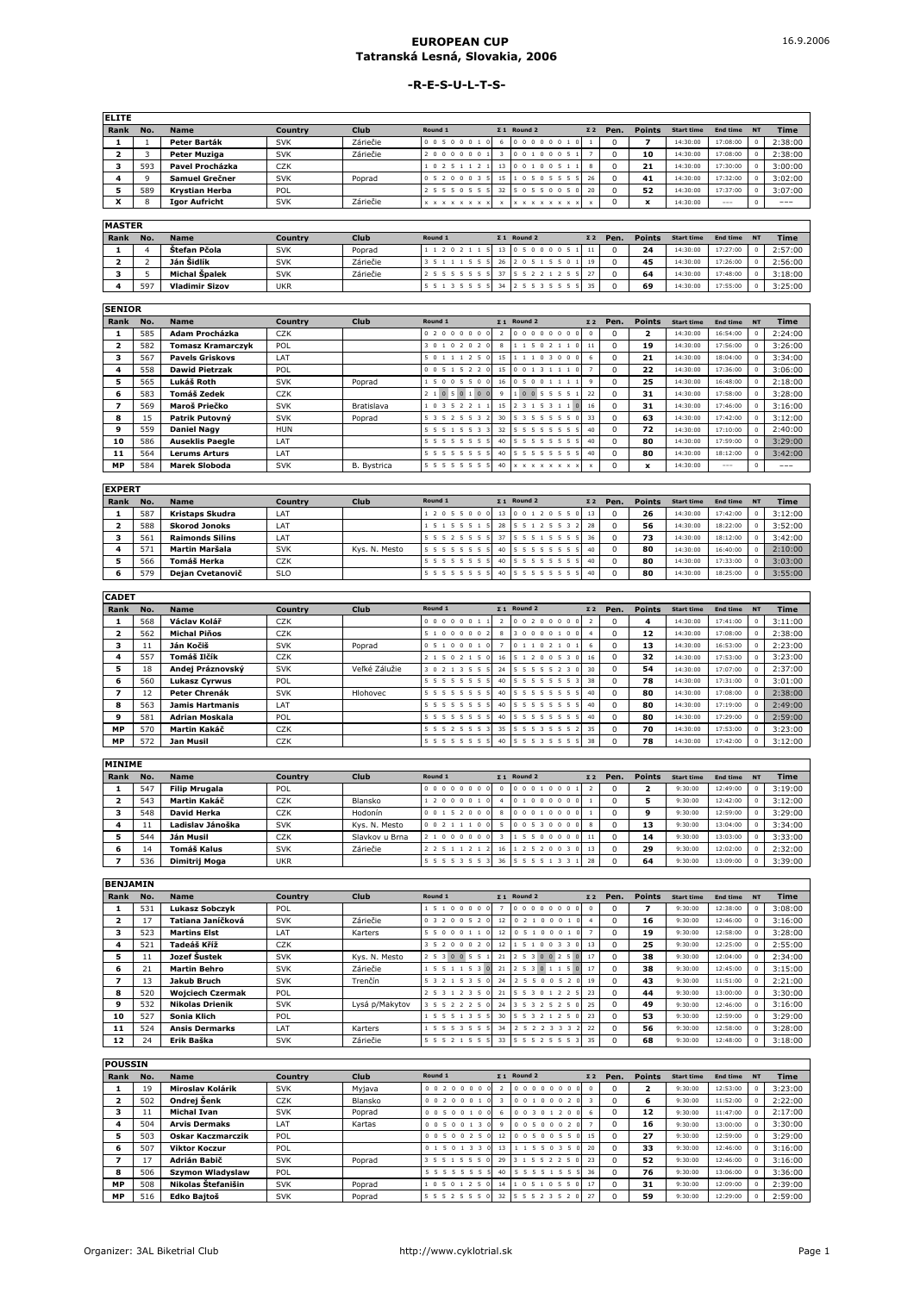## **EUROPEAN CUP Tatranská Lesná, Slovakia, 2006**

## **-R-E-S-U-L-T-S-**

| <b>ELITE</b> |     |                       |            |          |                             |                                                     |            |      |               |                   |               |             |
|--------------|-----|-----------------------|------------|----------|-----------------------------|-----------------------------------------------------|------------|------|---------------|-------------------|---------------|-------------|
| Rank         | No. | <b>Name</b>           | Country    | Club     | Round 1                     | $\Sigma$ 1 Round 2                                  | $\Sigma$ 2 | Pen. | <b>Points</b> | <b>Start time</b> | End time NT   | <b>Time</b> |
|              |     | Peter Barták          | <b>SVK</b> | Záriečie | 0 0 5 0 0 0 1               | 0 <sub>0</sub><br>0 <sub>0</sub><br>$\overline{10}$ |            |      |               | 14:30:00          | 17:08:00      | 2:38:00     |
|              |     | Peter Muziga          | <b>SVK</b> | Záriečie | 000000                      | $0\quad 0\quad 0\quad$<br>0 <sub>1</sub>            |            |      | 10            | 14:30:00          | 17:08:00      | 2:38:00     |
|              | 593 | Pavel Procházka       | CZK        |          | 0 2 5 1 1                   | 0 <sub>0</sub><br>0 <sub>1</sub>                    |            | o    | 21            | 14:30:00          | 17:30:00      | 3:00:00     |
|              |     | Samuel Grečner        | <b>SVK</b> | Poprad   | 0.0.0.3                     | 0 5 5 5<br>0.5<br>$\overline{\phantom{a}}$          | 26         | 0    | 41            | 14:30:00          | 17:32:00      | 3:02:00     |
|              | 589 | <b>Krystian Herba</b> | POL        |          |                             | 0.5<br>$\Omega$                                     | 20         |      | 52            | 14:30:00          | 17:37:00      | 3:07:00     |
|              |     | <b>Igor Aufricht</b>  | <b>SVK</b> | Záriečie | $X$ $X$ $X$ $X$ $X$ $X$ $X$ | $X$ $X$ $X$ $X$ $X$ $X$ $X$                         |            |      | ۰.            | 14:30:00          | $\frac{1}{2}$ | $- - -$     |
|              |     |                       |            |          |                             |                                                     |            |      |               |                   |               |             |

| R<br>۰.<br>,,,<br>×. |  |
|----------------------|--|
|                      |  |

| 1.17331111 |     |                       |            |             |         |                    |            |      |        |                   |          |           |             |
|------------|-----|-----------------------|------------|-------------|---------|--------------------|------------|------|--------|-------------------|----------|-----------|-------------|
| Rank       | No. | <b>Name</b>           | Country    | <b>Club</b> | Round 1 | $\Sigma$ 1 Round 2 | $\Sigma$ 2 | Pen. | Points | <b>Start time</b> | End time | <b>NT</b> | <b>Time</b> |
|            |     | Štefan Pčola          | <b>SVK</b> | Poprad      | 202     | 1050000            |            |      | 24     | 14:30:00          | 17:27:00 |           | 2:57:00     |
|            |     | Ján Šidlík            | <b>SVK</b> | Záriečie    |         |                    | 19         |      | 45     | 14:30:00          | 17:26:00 |           | 2:56:00     |
|            |     | Michal Špalek         | SVK        | Záriečie    |         |                    |            |      | 64     | 14:30:00          | 17:48:00 |           | 3:18:00     |
|            | 597 | <b>Vladimir Sizov</b> | <b>UKR</b> |             |         |                    |            |      | 69     | 14:30:00          | 17:55:00 |           | 3:25:00     |

| <b>SENIOR</b>  |     |                        |            |             |                 |    |                             |                 |          |                |                   |               |            |         |
|----------------|-----|------------------------|------------|-------------|-----------------|----|-----------------------------|-----------------|----------|----------------|-------------------|---------------|------------|---------|
| Rank           | No. | <b>Name</b>            | Country    | <b>Club</b> | Round 1         |    | $\Sigma$ 1 Round 2          | $\Sigma$ 2      | Pen.     | <b>Points</b>  | <b>Start time</b> | End time      | <b>NT</b>  | Time    |
|                | 585 | Adam Procházka         | <b>CZK</b> |             | 0 2 0 0 0 0 0 0 |    | 0 0 0 0 0 0 0 0             | $\Omega$        | $\Omega$ | $\overline{2}$ | 14:30:00          | 16:54:00      | $^{\circ}$ | 2:24:00 |
| $\overline{2}$ | 582 | Tomasz Kramarczyk      | POL        |             | 3 0 1 0 2 0 2 0 | 8  | 1 1 5 0 2 1 1 0             | 11              | $\Omega$ | 19             | 14:30:00          | 17:56:00      | $\Omega$   | 3:26:00 |
| 3              | 567 | <b>Pavels Griskovs</b> | LAT        |             | 5 0 1 1 1 2 5 0 | 15 | 11103000                    | 6.              | $\Omega$ | 21             | 14:30:00          | 18:04:00      | $\Omega$   | 3:34:00 |
| 4              | 558 | <b>Dawid Pietrzak</b>  | POL        |             | 0 0 5 1 5 2 2 0 | 15 | 0 0 1 3 1 1 1 0             |                 | $\Omega$ | 22             | 14:30:00          | 17:36:00      | $\Omega$   | 3:06:00 |
| 5.             | 565 | Lukáš Roth             | <b>SVK</b> | Poprad      | 1 5 0 0 5 5 0 0 | 16 | 0 5 0 0 1 1 1 1             | $\Omega$        | $\Omega$ | 25             | 14:30:00          | 16:48:00      | $\Omega$   | 2:18:00 |
| 6              | 583 | Tomáš Zedek            | <b>CZK</b> |             | 2 1 0 5 0 1 0 0 | Q  | 10055551                    | 22              | $\Omega$ | 31             | 14:30:00          | 17:58:00      | $\Omega$   | 3:28:00 |
|                | 569 | Maroš Priečko          | <b>SVK</b> | Bratislava  | 1 0 3 5 2 2 1 1 | 15 | 2 3 1 5 3 1 1 0             | 16              | $\Omega$ | 31             | 14:30:00          | 17:46:00      | $\Omega$   | 3:16:00 |
| 8              | 15  | Patrik Putovný         | <b>SVK</b> | Poprad      | 5 3 5 2 5 5 3 2 | 30 | 5 3 5 5 5 5 5 0             | 33              | $\Omega$ | 63             | 14:30:00          | 17:42:00      | $\Omega$   | 3:12:00 |
| 9              | 559 | <b>Daniel Nagy</b>     | <b>HUN</b> |             | 5 5 5 1 5 5 3 3 | 32 | 5 5 5 5 5 5 5 5             | 40              | $\Omega$ | 72             | 14:30:00          | 17:10:00      | $\Omega$   | 2:40:00 |
| 10             | 586 | <b>Auseklis Paegle</b> | LAT        |             | 5 5 5 5 5 5 5 5 | 40 | 5 5 5 5 5 5 5 5             | 40 <sup>1</sup> | $\Omega$ | 80             | 14:30:00          | 17:59:00      | $\Omega$   | 3:29:00 |
| 11             | 564 | <b>Lerums Arturs</b>   | LAT        |             | 5 5 5 5 5 5 5 5 | 40 | 5 5 5 5 5 5 5 5             | 40              | $\Omega$ | 80             | 14:30:00          | 18:12:00      | $\circ$    | 3:42:00 |
| <b>MP</b>      | 584 | <b>Marek Sloboda</b>   | <b>SVK</b> | B. Bystrica | 5 5 5 5 5 5 5 5 | 40 | $X$ $X$ $X$ $X$ $X$ $X$ $X$ |                 | $\Omega$ | x              | 14:30:00          | $\frac{1}{2}$ | $\Omega$   | $---$   |
| $\sim$         |     |                        |            |             |                 |    |                             |                 |          |                |                   |               |            |         |

| EAPERI |     |                        |            |               |                     |    |                                   |            |      |               |                   |             |             |
|--------|-----|------------------------|------------|---------------|---------------------|----|-----------------------------------|------------|------|---------------|-------------------|-------------|-------------|
| Rank   | No. | <b>Name</b>            | Country    | <b>Club</b>   | Round 1             |    | $\Sigma$ 1 Round 2                | $\Sigma$ 2 | Pen. | <b>Points</b> | <b>Start time</b> | End time NT | <b>Time</b> |
|        | 587 | Kristaps Skudra        | LAT        |               | 2055000             | 13 | 0 0 1 2 0 5<br>5 0 13             |            |      | 26            | 14:30:00          | 17:42:00    | 3:12:00     |
|        | 588 | <b>Skorod Jonoks</b>   | LAT        |               | 5 1 5 5 5 1         | 28 | 2 5 5<br>$\mathbf{B}$             | 128        |      | 56            | 14:30:00          | 18:22:00    | 3:52:00     |
|        | 561 | <b>Raimonds Silins</b> | LAT        |               | 5 5 5 2 5 5 5       |    | 5 5 1 5 5 5 5                     | 36         |      | 73            | 14:30:00          | 18:12:00    | 3:42:00     |
|        | 571 | Martin Maršala         | <b>SVK</b> | Kys. N. Mesto | 5 5 5 5 5 5 5 5     | 40 | 5 5 5 5 5 5 5 1<br>5 <sup>5</sup> | 40         |      | 80            | 14:30:00          | 16:40:00    | 2:10:00     |
|        | 566 | Tomáš Herka            | CZK        |               | 5 5 5 5 5 5 5       | 40 | 5 5 5 5 5 5<br>5 <sup>5</sup>     | 40         |      | 80            | 14:30:00          | 17:33:00    | 3:03:00     |
|        | 579 | Deian Cvetanovič       | <b>SLO</b> |               | 5 5 5 5 5 5 5<br>-5 | 40 | 5 5 5 5 5 5 5                     | 40         |      | 80            | 14:30:00          | 18:25:00    | 3:55:00     |

| <b>CADET</b>            |     |                       |                  |               |                 |                |                    |            |          |               |                   |             |         |
|-------------------------|-----|-----------------------|------------------|---------------|-----------------|----------------|--------------------|------------|----------|---------------|-------------------|-------------|---------|
| Rank                    | No. | <b>Name</b>           | Country          | <b>Club</b>   | Round 1         |                | $\Sigma$ 1 Round 2 | $\Sigma$ 2 | Pen.     | <b>Points</b> | <b>Start time</b> | End time NT | Time    |
|                         | 568 | Václav Kolář          | <b>CZK</b>       |               | 0 0 0 0 0 0 1 1 | $\overline{z}$ | 0 0 2 0 0 0 0 0    |            | $\Omega$ | 4             | 14:30:00          | 17:41:00    | 3:11:00 |
| $\overline{\mathbf{z}}$ | 562 | <b>Michal Piňos</b>   | CZK              |               | 51000002        | 8              | 0000100<br>3       |            | $\Omega$ | 12            | 14:30:00          | 17:08:00    | 2:38:00 |
| 3                       | 11  | Ján Kočiš             | <b>SVK</b>       | Poprad        | 0 5 1 0 0 0 1 0 |                | 0 1 1 0 2 1 0      |            | $\Omega$ | 13            | 14:30:00          | 16:53:00    | 2:23:00 |
| 4                       | 557 | Tomáš Ilčík           | CZK              |               | 2 1 5 0 2 1 5 0 | 16             | 5 1 2 0 0 5 3 0    | 16         | $\Omega$ | 32            | 14:30:00          | 17:53:00    | 3:23:00 |
| 5                       | 18  | Andej Práznovský      | <b>SVK</b>       | Veľké Zálužie | 3 0 2 1 3 5 5 5 | 24             | 5 5 5 5 5 2 3      | 30         | $\Omega$ | 54            | 14:30:00          | 17:07:00    | 2:37:00 |
| 6                       | 560 | <b>Lukasz Cvrwus</b>  | POL              |               | 5 5 5 5 5 5 5 5 | 40             | 5 5 5 5 5 5 5      | 38         | $\Omega$ | 78            | 14:30:00          | 17:31:00    | 3:01:00 |
|                         | 12  | Peter Chrenák         | <b>SVK</b>       | Hlohovec      | 5 5 5 5 5 5 5 5 | 40             | 5 5 5 5 5 5 5 5    | 40         | $\Omega$ | 80            | 14:30:00          | 17:08:00    | 2:38:00 |
| 8                       | 563 | Jamis Hartmanis       | <b>IAT</b>       |               | 5 5 5 5 5 5 5 5 | 40             | 5 5 5 5 5 5 5 5    | 40         | $\Omega$ | 80            | 14:30:00          | 17:19:00    | 2:49:00 |
| 9                       | 581 | <b>Adrian Moskala</b> | POL              |               | 5 5 5 5 5 5 5 5 | 40             | 5 5 5 5 5 5 5      | 40         | $\Omega$ | 80            | 14:30:00          | 17:29:00    | 2:59:00 |
| <b>MP</b>               | 570 | Martin Kakáč          | CZK              |               | 5 5 5 2 5 5 5 3 | 35             | 5 5 5 3 5 5 5 2    | 35         | $\Omega$ | 70            | 14:30:00          | 17:53:00    | 3:23:00 |
| <b>MP</b>               | 572 | Jan Musil             | C <sub>7</sub> K |               | 5 5 5 5 5 5 5 5 | 40             | 5 5 5 3 5 5 5 5    | 38         | $\Omega$ | 78            | 14:30:00          | 17:42:00    | 3:12:00 |

| <b>MINIME</b>           |     |                      |            |                |                                           |          |                                                      |            |      |               |                   |          |           |         |
|-------------------------|-----|----------------------|------------|----------------|-------------------------------------------|----------|------------------------------------------------------|------------|------|---------------|-------------------|----------|-----------|---------|
| Rank                    | No. | <b>Name</b>          | Country    | Club           | Round 1                                   |          | $\Sigma$ 1 Round 2                                   | $\Sigma$ 2 | Pen. | <b>Points</b> | <b>Start time</b> | End time | <b>NT</b> | Time    |
|                         | 547 | <b>Filip Mrugala</b> | POL        |                | 0000000                                   | $\Omega$ | 0 0 0 1 0 0<br>$\sqrt{2}$                            |            |      |               | 9:30:00           | 12:49:00 |           | 3:19:00 |
| $\overline{\mathbf{2}}$ | 543 | Martin Kakáč         | CZK        | Blansko        | 0 0 0 1<br>2 <sub>0</sub>                 |          | $\Omega$<br>0 <sub>0</sub><br>$\sqrt{2}$<br>$\Omega$ |            |      |               | 9:30:00           | 12:42:00 |           | 3:12:00 |
| 3                       | 548 | David Herka          | <b>CZK</b> | Hodonín        | 0 0 1 5 2 0 0                             | 8        | $\Omega$<br>0.01<br>n <sub>1</sub>                   |            |      | 9             | 9:30:00           | 12:59:00 |           | 3:29:00 |
|                         | 11  | Ladislav Jánoška     | <b>SVK</b> | Kvs. N. Mesto  | $\mathbf{a}$<br>0 0 2 1 1 1               |          | 0 <sub>0</sub><br>0 5 3 0 0                          |            |      | 13            | 9:30:00           | 13:04:00 |           | 3:34:00 |
| 5                       | 544 | Ján Musil            | CZK        | Slavkov u Brna | 00000<br>$\Omega$                         |          | 0.0.0.0<br>$\Omega$                                  |            |      | 14            | 9:30:00           | 13:03:00 |           | 3:33:00 |
| 6                       | 14  | <b>Tomáš Kalus</b>   | <b>SVK</b> | Záriečie       | 2 2 5 1 1 2 1<br>$\overline{\phantom{a}}$ | 16       | 2 5 2 0 0 3 0 13                                     |            |      | 29            | 9:30:00           | 12:02:00 |           | 2:32:00 |
|                         | 536 | Dimitrij Moga        | <b>UKR</b> |                | 5 5 5 5 3 5 5 3                           | 36       | 5 5 5 1 3 3<br><b>5</b>                              | 28         |      | 64            | 9:30:00           | 13:09:00 |           | 3:39:00 |

| <b>BENJAMIN</b> |     |                         |            |                |                 |                |                    |            |          |               |                   |             |          |         |
|-----------------|-----|-------------------------|------------|----------------|-----------------|----------------|--------------------|------------|----------|---------------|-------------------|-------------|----------|---------|
| Rank            | No. | <b>Name</b>             | Country    | Club           | Round 1         |                | $\Sigma$ 1 Round 2 | $\Sigma$ 2 | Pen.     | <b>Points</b> | <b>Start time</b> | End time NT |          | Time    |
|                 | 531 | <b>Lukasz Sobczvk</b>   | POL        |                | 1 5 1 0 0 0 0 0 | $\overline{ }$ | 00000000           | $\Omega$   | $\Omega$ | 7             | 9:30:00           | 12:38:00    | $\Omega$ | 3:08:00 |
| $\mathbf{z}$    | 17  | Tatiana Janíčková       | <b>SVK</b> | Záriečie       | 0 3 2 0 0 5 2 0 | 12             | 0 2 1 0 0 0 1      |            | $\Omega$ | 16            | 9:30:00           | 12:46:00    |          | 3:16:00 |
| 3.              | 523 | <b>Martins Elst</b>     | <b>IAT</b> | Karters        | 5 5 0 0 0 1 1 0 | 12             | 0 5 1 0 0 0 1 0    |            | $\Omega$ | 19            | 9:30:00           | 12:58:00    |          | 3:28:00 |
|                 | 521 | Tadeáš Kříž             | CZK        |                | 3 5 2 0 0 0 2 0 | 12             | 5 1 0 0 3 3 0      | 13         | $\Omega$ | 25            | 9:30:00           | 12:25:00    |          | 2:55:00 |
| 5.              |     | Jozef Šustek            | <b>SVK</b> | Kvs. N. Mesto  | 2 5 3 0 0 5 5 1 | 21             | 2 5 3 0 0 2 5 0 17 |            | $\Omega$ | 38            | 9:30:00           | 12:04:00    |          | 2:34:00 |
| 6               | 21  | <b>Martin Behro</b>     | <b>SVK</b> | Záriečie       | 1 5 5 1 1 5 3 0 | 21             | 2 5 3 0 1 1 5 0 17 |            | $\Omega$ | 38            | 9:30:00           | 12:45:00    |          | 3:15:00 |
|                 | 13  | Jakub Bruch             | <b>SVK</b> | Trenčín        | 5 3 2 1 5 3 5 0 | 24             | 2 5 5 0 0 5 2 0    | 19         | $\Omega$ | 43            | 9:30:00           | 11:51:00    |          | 2:21:00 |
| 8               | 520 | <b>Woiciech Czermak</b> | POL        |                | 2 5 3 1 2 3 5 0 | 21             | 5 5 3 0 1 2 2 5 23 |            | $\Omega$ | 44            | 9:30:00           | 13:00:00    |          | 3:30:00 |
| 9               | 532 | <b>Nikolas Drienik</b>  | <b>SVK</b> | Lysá p/Makytov | 3 5 5 2 2 2 5 0 | 24             | 3 5 3 2 5 2 5 0    | 25         | $\Omega$ | 49            | 9:30:00           | 12:46:00    |          | 3:16:00 |
| 10              | 527 | Sonia Klich             | POL        |                | 1 5 5 5 1 3 5 5 | 30             | 5 5 3 2 1 2 5 0    | 23         | $\Omega$ | 53            | 9:30:00           | 12:59:00    | O.       | 3:29:00 |
| 11              | 524 | <b>Ansis Dermarks</b>   | <b>IAT</b> | Karters        | 1 5 5 5 3 5 5 5 | 34             | 25223332           | 22         | $\Omega$ | 56            | 9:30:00           | 12:58:00    |          | 3:28:00 |
| 12              | 24  | Erik Baška              | <b>SVK</b> | Záriečie       | 5 5 5 2 1 5 5 5 |                | 33 5 5 5 2 5 5 5 3 | 35         | $\Omega$ | 68            | 9:30:00           | 12:48:00    |          | 3:18:00 |

| <b>POUSSIN</b> |     |                          |            |         |                      |         |                                            |            |      |               |                   |             |         |
|----------------|-----|--------------------------|------------|---------|----------------------|---------|--------------------------------------------|------------|------|---------------|-------------------|-------------|---------|
| Rank           | No. | <b>Name</b>              | Country    | Club    | Round 1              |         | $\Sigma$ 1 Round 2                         | $\Sigma$ 2 | Pen. | <b>Points</b> | <b>Start time</b> | End time NT | Time    |
|                | 19  | Miroslav Kolárik         | <b>SVK</b> | Myjava  | 0 0 2 0 0 0 0        |         | 00000000                                   | $\Omega$   |      | ,             | 9:30:00           | 12:53:00    | 3:23:00 |
|                | 502 | Ondrej Šenk              | CZK        | Blansko | 0 0 2 0 0 0 1        |         | 100020<br>$\overline{0}$<br>0 <sub>1</sub> |            |      | 6             | 9:30:00           | 11:52:00    | 2:22:00 |
| з              | 11  | <b>Michal Ivan</b>       | <b>SVK</b> | Poprad  | 0 0 5 0 0 1 0        | б.      | 0 3 0 1 2 0 0                              | -6         |      | 12            | 9:30:00           | 11:47:00    | 2:17:00 |
|                | 504 | <b>Arvis Dermaks</b>     | LAT        | Kartas  | 0 0 5 0 0 1 3 0      | $\circ$ | 500020<br>$\Omega$<br>$\Omega$             |            | 0    | 16            | 9:30:00           | 13:00:00    | 3:30:00 |
| 5              | 503 | <b>Oskar Kaczmarczik</b> | POL        |         | 0 0 5 0 0 2 5 0      | 12      | 0 5 0 0 5 5 0<br>$\Omega$                  | 15         |      | 27            | 9:30:00           | 12:59:00    | 3:29:00 |
| 6              | 507 | <b>Viktor Koczur</b>     | POL        |         | 0 1 5 0 1 3 3<br>-01 | 13      | 1 1 5 5 0 3 5 0                            | 20         | u    | 33            | 9:30:00           | 12:46:00    | 3:16:00 |
|                | 17  | Adrián Babič             | <b>SVK</b> | Poprad  | 3 5 5 1 5 5 5 0      | 29      | 3 1 5 5 2 2 5 0                            | 23         | 0    | 52            | 9:30:00           | 12:46:00    | 3:16:00 |
| 8              | 506 | <b>Szymon Wladyslaw</b>  | POL        |         | 5 5 5 5 5 5 5 5      | 40      | 5 5 5 5 1 5 5 5                            | 36         |      | 76            | 9:30:00           | 13:06:00    | 3:36:00 |
| <b>MP</b>      | 508 | Nikolas Štefanišin       | <b>SVK</b> | Poprad  | 1 0 5 0 1 2 5 0      | 14      | 0510550                                    | 17         | 0    | 31            | 9:30:00           | 12:09:00    | 2:39:00 |
| <b>MP</b>      | 516 | <b>Edko Baitoš</b>       | <b>SVK</b> | Poprad  | 5 5 5 2 5 5 5 0      |         | 32 5 5 5 2 3 5 2 0                         | 27         |      | 59            | 9:30:00           | 12:29:00    | 2:59:00 |